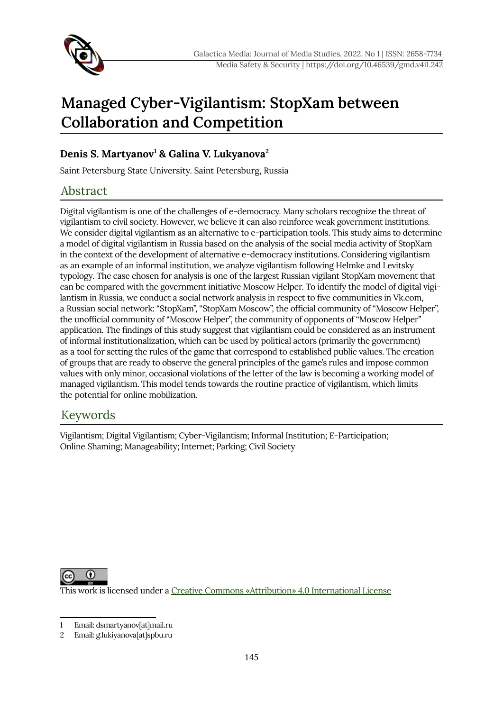

# **Managed Cyber-Vigilantism: StopXam between Collaboration and Competition**

### **Denis S. Martyanov[1](#page-0-0) & Galina V. Lukyanova[2](#page-0-1)**

Saint Petersburg State University. Saint Petersburg, Russia

# Abstract

Digital vigilantism is one of the challenges of e-democracy. Many scholars recognize the threat of vigilantism to civil society. However, we believe it can also reinforce weak government institutions. We consider digital vigilantism as an alternative to e-participation tools. This study aims to determine a model of digital vigilantism in Russia based on the analysis of the social media activity of StopXam in the context of the development of alternative e-democracy institutions. Considering vigilantism as an example of an informal institution, we analyze vigilantism following Helmke and Levitsky typology. The case chosen for analysis is one of the largest Russian vigilant StopXam movement that can be compared with the government initiative Moscow Helper. To identify the model of digital vigilantism in Russia, we conduct a social network analysis in respect to five communities in Vk.com, a Russian social network: "StopXam", "StopXam Moscow", the official community of "Moscow Helper", the unofficial community of "Moscow Helper", the community of opponents of "Moscow Helper" application. The findings of this study suggest that vigilantism could be considered as an instrument of informal institutionalization, which can be used by political actors (primarily the government) as a tool for setting the rules of the game that correspond to established public values. The creation of groups that are ready to observe the general principles of the game's rules and impose common values with only minor, occasional violations of the letter of the law is becoming a working model of managed vigilantism. This model tends towards the routine practice of vigilantism, which limits the potential for online mobilization.

# Keywords

Vigilantism; Digital Vigilantism; Cyber-Vigilantism; Informal Institution; E-Participation; Online Shaming; Manageability; Internet; Parking; Civil Society

0 This work is licensed under a [Creative Commons «Attribution» 4.0 International License](https://creativecommons.org/licenses/by/4.0/)

<span id="page-0-0"></span>Email: dsmartyanov[at]mail.ru

<span id="page-0-1"></span><sup>2</sup> Email: g.lukiyanova[at]spbu.ru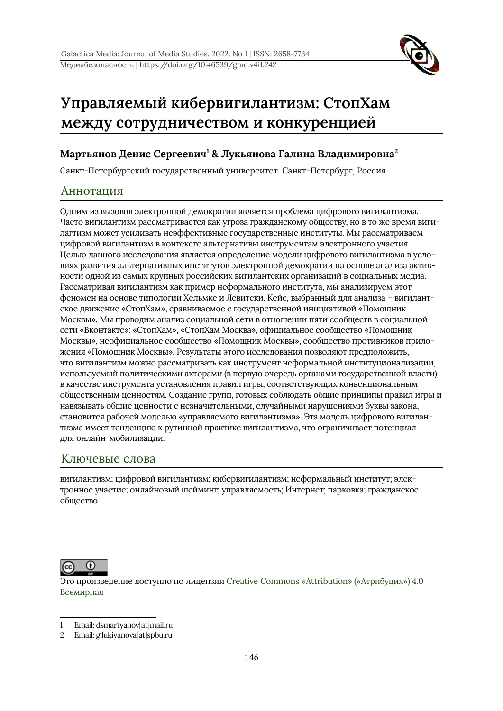

# **Управляемый кибервигилантизм: СтопХам между сотрудничеством и конкуренцией**

#### **Мартьянов Денис Сергеевич[1](#page-1-0) & Лукьянова Галина Владимировна[2](#page-1-1)**

Санкт-Петербургский государственный университет. Санкт-Петербург, Россия

#### Аннотация

Одним из вызовов электронной демократии является проблема цифрового вигилантизма. Часто вигилантизм рассматривается как угроза гражданскому обществу, но в то же время вигилагтизм может усиливать неэффективные государственные институты. Мы рассматриваем цифровой вигилантизм в контексте альтернативы инструментам электронного участия. Целью данного исследования является определение модели цифрового вигилантизма в условиях развития альтернативных институтов электронной демократии на основе анализа активности одной из самых крупных российских вигилантских организаций в социальных медиа. Рассматривая вигилантизм как пример неформального института, мы анализируем этот феномен на основе типологии Хельмке и Левитски. Кейс, выбранный для анализа – вигилантское движение «СтопХам», сравниваемое с государственной инициативой «Помощник Москвы». Мы проводим анализ социальной сети в отношении пяти сообществ в социальной сети «Вконтакте»: «СтопХам», «СтопХам Москва», официальное сообщество «Помощник Москвы», неофициальное сообщество «Помощник Москвы», сообщество противников приложения «Помощник Москвы». Результаты этого исследования позволяют предположить, что вигилантизм можно рассматривать как инструмент неформальной институционализации, используемый политическими акторами (в первую очередь органами государственной власти) в качестве инструмента установления правил игры, соответствующих конвенциональным общественным ценностям. Создание групп, готовых соблюдать общие принципы правил игры и навязывать общие ценности с незначительными, случайными нарушениями буквы закона, становится рабочей моделью «управляемого вигилантизма». Эта модель цифрового вигилантизма имеет тенденцию к рутинной практике вигилантизма, что ограничивает потенциал для онлайн-мобилизации.

#### Ключевые слова

вигилантизм; цифровой вигилантизм; кибервигилантизм; неформальный институт; электронное участие; онлайновый шейминг; управляемость; Интернет; парковка; гражданское общество



Это произведение доступно по лицензии Creative Commons «Attribution» («Атрибуция») 4.0 **[Всемирная](http://creativecommons.org/licenses/by/4.0/)** 

<span id="page-1-0"></span>Email: dsmartyanov[at]mail.ru

<span id="page-1-1"></span><sup>2</sup> Email: g.lukiyanova[at]spbu.ru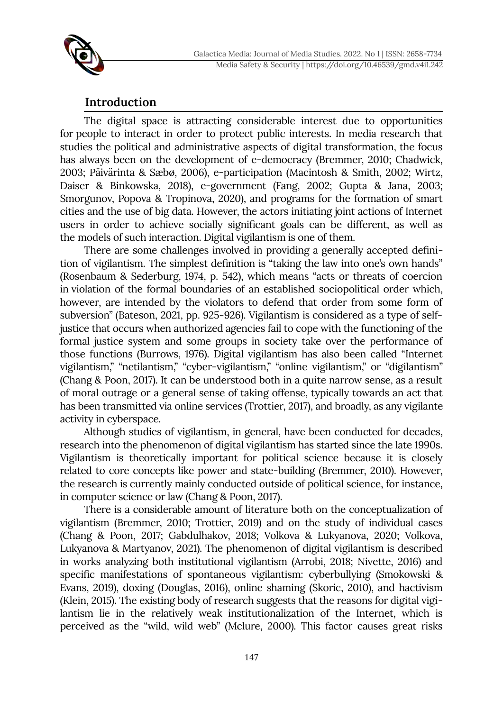

# **Introduction**

The digital space is attracting considerable interest due to opportunities for people to interact in order to protect public interests. In media research that studies the political and administrative aspects of digital transformation, the focus has always been on the development of e-democracy (Bremmer, 2010; Chadwick, 2003; Päivärinta & Sæbø, 2006), e-participation (Macintosh & Smith, 2002; Wirtz, Daiser & Binkowska, 2018), e-government (Fang, 2002; Gupta & Jana, 2003; Smorgunov, Popova & Tropinova, 2020), and programs for the formation of smart cities and the use of big data. However, the actors initiating joint actions of Internet users in order to achieve socially significant goals can be different, as well as the models of such interaction. Digital vigilantism is one of them.

There are some challenges involved in providing a generally accepted definition of vigilantism. The simplest definition is "taking the law into one's own hands" (Rosenbaum & Sederburg, 1974, p. 542), which means "acts or threats of coercion in violation of the formal boundaries of an established sociopolitical order which, however, are intended by the violators to defend that order from some form of subversion" (Bateson, 2021, pp. 925-926). Vigilantism is considered as a type of selfjustice that occurs when authorized agencies fail to cope with the functioning of the formal justice system and some groups in society take over the performance of those functions (Burrows, 1976). Digital vigilantism has also been called "Internet vigilantism," "netilantism," "cyber-vigilantism," "online vigilantism," or "digilantism" (Chang & Poon, 2017). It can be understood both in a quite narrow sense, as a result of moral outrage or a general sense of taking offense, typically towards an act that has been transmitted via online services (Trottier, 2017), and broadly, as any vigilante activity in cyberspace.

Although studies of vigilantism, in general, have been conducted for decades, research into the phenomenon of digital vigilantism has started since the late 1990s. Vigilantism is theoretically important for political science because it is closely related to core concepts like power and state-building (Bremmer, 2010). However, the research is currently mainly conducted outside of political science, for instance, in computer science or law (Chang & Poon, 2017).

There is a considerable amount of literature both on the conceptualization of vigilantism (Bremmer, 2010; Trottier, 2019) and on the study of individual cases (Chang & Poon, 2017; Gabdulhakov, 2018; Volkova & Lukyanova, 2020; Volkova, Lukyanova & Martyanov, 2021). The phenomenon of digital vigilantism is described in works analyzing both institutional vigilantism (Arrobi, 2018; Nivette, 2016) and specific manifestations of spontaneous vigilantism: cyberbullying (Smokowski & Evans, 2019), doxing (Douglas, 2016), online shaming (Skoric, 2010), and hactivism (Klein, 2015). The existing body of research suggests that the reasons for digital vigilantism lie in the relatively weak institutionalization of the Internet, which is perceived as the "wild, wild web" (Mclure, 2000). This factor causes great risks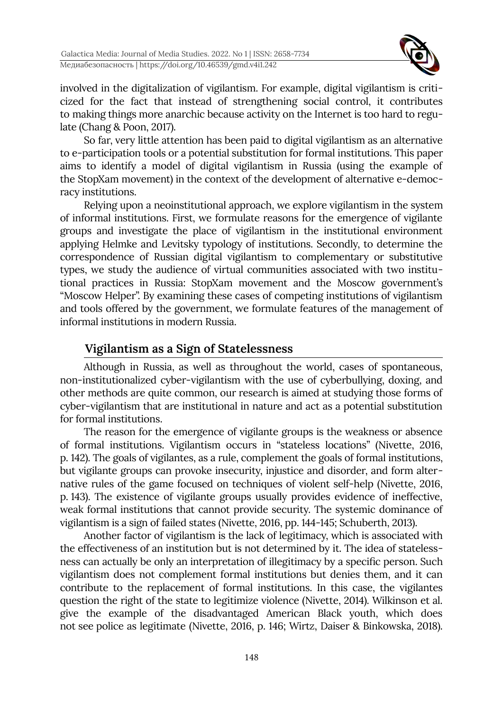

involved in the digitalization of vigilantism. For example, digital vigilantism is criticized for the fact that instead of strengthening social control, it contributes to making things more anarchic because activity on the Internet is too hard to regulate (Chang & Poon, 2017).

So far, very little attention has been paid to digital vigilantism as an alternative to e-participation tools or a potential substitution for formal institutions. This paper aims to identify a model of digital vigilantism in Russia (using the example of the StopXam movement) in the context of the development of alternative e-democracy institutions.

Relying upon a neoinstitutional approach, we explore vigilantism in the system of informal institutions. First, we formulate reasons for the emergence of vigilante groups and investigate the place of vigilantism in the institutional environment applying Helmke and Levitsky typology of institutions. Secondly, to determine the correspondence of Russian digital vigilantism to complementary or substitutive types, we study the audience of virtual communities associated with two institutional practices in Russia: StopXam movement and the Moscow government's "Moscow Helper". By examining these cases of competing institutions of vigilantism and tools offered by the government, we formulate features of the management of informal institutions in modern Russia.

# **Vigilantism as a Sign of Statelessness**

Although in Russia, as well as throughout the world, cases of spontaneous, non-institutionalized cyber-vigilantism with the use of cyberbullying, doxing, and other methods are quite common, our research is aimed at studying those forms of cyber-vigilantism that are institutional in nature and act as a potential substitution for formal institutions.

The reason for the emergence of vigilante groups is the weakness or absence of formal institutions. Vigilantism occurs in "stateless locations" (Nivette, 2016, p. 142). The goals of vigilantes, as a rule, complement the goals of formal institutions, but vigilante groups can provoke insecurity, injustice and disorder, and form alternative rules of the game focused on techniques of violent self-help (Nivette, 2016, p. 143). The existence of vigilante groups usually provides evidence of ineffective, weak formal institutions that cannot provide security. The systemic dominance of vigilantism is a sign of failed states (Nivette, 2016, pp. 144-145; Schuberth, 2013).

Another factor of vigilantism is the lack of legitimacy, which is associated with the effectiveness of an institution but is not determined by it. The idea of statelessness can actually be only an interpretation of illegitimacy by a specific person. Such vigilantism does not complement formal institutions but denies them, and it can contribute to the replacement of formal institutions. In this case, the vigilantes question the right of the state to legitimize violence (Nivette, 2014). Wilkinson et al. give the example of the disadvantaged American Black youth, which does not see police as legitimate (Nivette, 2016, p. 146; Wirtz, Daiser & Binkowska, 2018).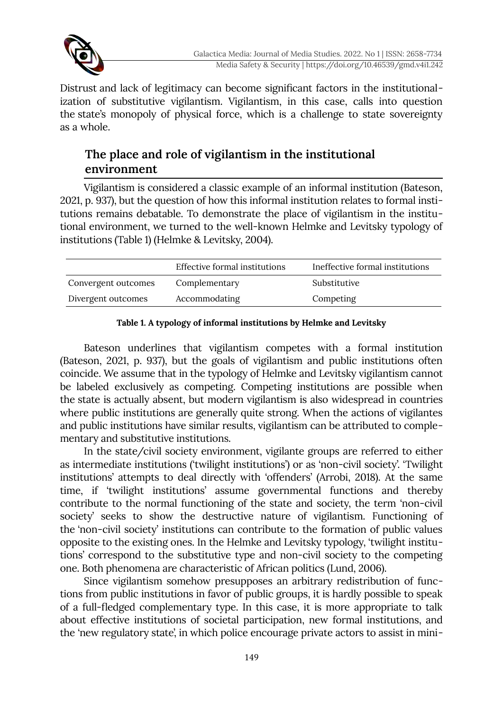

Distrust and lack of legitimacy can become significant factors in the institutionalization of substitutive vigilantism. Vigilantism, in this case, calls into question the state's monopoly of physical force, which is a challenge to state sovereignty as a whole.

# **The place and role of vigilantism in the institutional environment**

Vigilantism is considered a classic example of an informal institution (Bateson, 2021, p. 937), but the question of how this informal institution relates to formal institutions remains debatable. To demonstrate the place of vigilantism in the institutional environment, we turned to the well-known Helmke and Levitsky typology of institutions (Table 1) (Helmke & Levitsky, 2004).

|                     | Effective formal institutions | Ineffective formal institutions |
|---------------------|-------------------------------|---------------------------------|
| Convergent outcomes | Complementary                 | Substitutive                    |
| Divergent outcomes  | Accommodating                 | Competing                       |

#### **Table 1. A typology of informal institutions by Helmke and Levitsky**

Bateson underlines that vigilantism competes with a formal institution (Bateson, 2021, p. 937), but the goals of vigilantism and public institutions often coincide. We assume that in the typology of Helmke and Levitsky vigilantism cannot be labeled exclusively as competing. Competing institutions are possible when the state is actually absent, but modern vigilantism is also widespread in countries where public institutions are generally quite strong. When the actions of vigilantes and public institutions have similar results, vigilantism can be attributed to complementary and substitutive institutions.

In the state/civil society environment, vigilante groups are referred to either as intermediate institutions ('twilight institutions') or as 'non-civil society'. 'Twilight institutions' attempts to deal directly with 'offenders' (Arrobi, 2018). At the same time, if 'twilight institutions' assume governmental functions and thereby contribute to the normal functioning of the state and society, the term 'non-civil society' seeks to show the destructive nature of vigilantism. Functioning of the 'non-civil society' institutions can contribute to the formation of public values opposite to the existing ones. In the Helmke and Levitsky typology, 'twilight institutions' correspond to the substitutive type and non-civil society to the competing one. Both phenomena are characteristic of African politics (Lund, 2006).

Since vigilantism somehow presupposes an arbitrary redistribution of functions from public institutions in favor of public groups, it is hardly possible to speak of a full-fledged complementary type. In this case, it is more appropriate to talk about effective institutions of societal participation, new formal institutions, and the 'new regulatory state', in which police encourage private actors to assist in mini-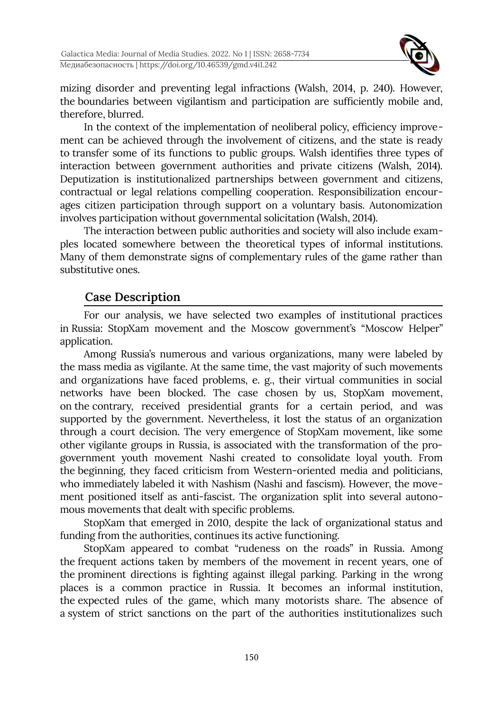

mizing disorder and preventing legal infractions (Walsh, 2014, p. 240). However, the boundaries between vigilantism and participation are sufficiently mobile and, therefore, blurred.

In the context of the implementation of neoliberal policy, efficiency improvement can be achieved through the involvement of citizens, and the state is ready to transfer some of its functions to public groups. Walsh identifies three types of interaction between government authorities and private citizens (Walsh, 2014). Deputization is institutionalized partnerships between government and citizens, contractual or legal relations compelling cooperation. Responsibilization encourages citizen participation through support on a voluntary basis. Autonomization involves participation without governmental solicitation (Walsh, 2014).

The interaction between public authorities and society will also include examples located somewhere between the theoretical types of informal institutions. Many of them demonstrate signs of complementary rules of the game rather than substitutive ones.

# **Case Description**

For our analysis, we have selected two examples of institutional practices in Russia: StopXam movement and the Moscow government's "Moscow Helper" application.

Among Russia's numerous and various organizations, many were labeled by the mass media as vigilante. At the same time, the vast majority of such movements and organizations have faced problems, e. g., their virtual communities in social networks have been blocked. The case chosen by us, StopXam movement, on the contrary, received presidential grants for a certain period, and was supported by the government. Nevertheless, it lost the status of an organization through a court decision. The very emergence of StopXam movement, like some other vigilante groups in Russia, is associated with the transformation of the progovernment youth movement Nashi created to consolidate loyal youth. From the beginning, they faced criticism from Western-oriented media and politicians, who immediately labeled it with Nashism (Nashi and fascism). However, the movement positioned itself as anti-fascist. The organization split into several autonomous movements that dealt with specific problems.

StopXam that emerged in 2010, despite the lack of organizational status and funding from the authorities, continues its active functioning.

StopXam appeared to combat "rudeness on the roads" in Russia. Among the frequent actions taken by members of the movement in recent years, one of the prominent directions is fighting against illegal parking. Parking in the wrong places is a common practice in Russia. It becomes an informal institution, the expected rules of the game, which many motorists share. The absence of a system of strict sanctions on the part of the authorities institutionalizes such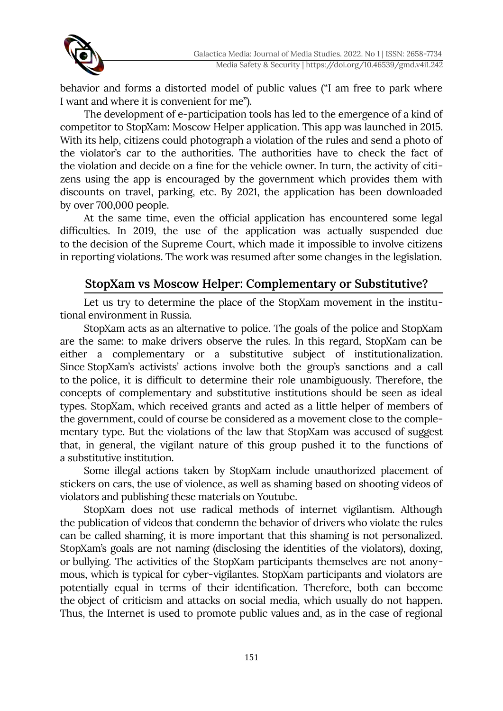

behavior and forms a distorted model of public values ("I am free to park where I want and where it is convenient for me").

The development of e-participation tools has led to the emergence of a kind of competitor to StopXam: Moscow Helper application. This app was launched in 2015. With its help, citizens could photograph a violation of the rules and send a photo of the violator's car to the authorities. The authorities have to check the fact of the violation and decide on a fine for the vehicle owner. In turn, the activity of citizens using the app is encouraged by the government which provides them with discounts on travel, parking, etc. By 2021, the application has been downloaded by over 700,000 people.

At the same time, even the official application has encountered some legal difficulties. In 2019, the use of the application was actually suspended due to the decision of the Supreme Court, which made it impossible to involve citizens in reporting violations. The work was resumed after some changes in the legislation.

# **StopXam vs Moscow Helper: Complementary or Substitutive?**

Let us try to determine the place of the StopXam movement in the institutional environment in Russia.

StopXam acts as an alternative to police. The goals of the police and StopXam are the same: to make drivers observe the rules. In this regard, StopXam can be either a complementary or a substitutive subject of institutionalization. Since StopXam's activists' actions involve both the group's sanctions and a call to the police, it is difficult to determine their role unambiguously. Therefore, the concepts of complementary and substitutive institutions should be seen as ideal types. StopXam, which received grants and acted as a little helper of members of the government, could of course be considered as a movement close to the complementary type. But the violations of the law that StopXam was accused of suggest that, in general, the vigilant nature of this group pushed it to the functions of a substitutive institution.

Some illegal actions taken by StopXam include unauthorized placement of stickers on cars, the use of violence, as well as shaming based on shooting videos of violators and publishing these materials on Youtube.

StopXam does not use radical methods of internet vigilantism. Although the publication of videos that condemn the behavior of drivers who violate the rules can be called shaming, it is more important that this shaming is not personalized. StopXam's goals are not naming (disclosing the identities of the violators), doxing, or bullying. The activities of the StopXam participants themselves are not anonymous, which is typical for cyber-vigilantes. StopXam participants and violators are potentially equal in terms of their identification. Therefore, both can become the object of criticism and attacks on social media, which usually do not happen. Thus, the Internet is used to promote public values and, as in the case of regional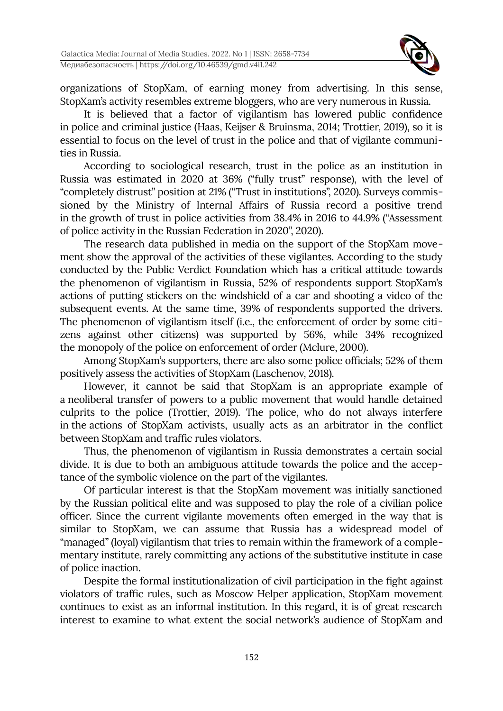

organizations of StopXam, of earning money from advertising. In this sense, StopXam's activity resembles extreme bloggers, who are very numerous in Russia.

It is believed that a factor of vigilantism has lowered public confidence in police and criminal justice (Haas, Keijser & Bruinsma, 2014; Trottier, 2019), so it is essential to focus on the level of trust in the police and that of vigilante communities in Russia.

According to sociological research, trust in the police as an institution in Russia was estimated in 2020 at 36% ("fully trust" response), with the level of "completely distrust" position at 21% ("Trust in institutions", 2020). Surveys commissioned by the Ministry of Internal Affairs of Russia record a positive trend in the growth of trust in police activities from 38.4% in 2016 to 44.9% ("Assessment of police activity in the Russian Federation in 2020", 2020).

The research data published in media on the support of the StopXam movement show the approval of the activities of these vigilantes. According to the study conducted by the Public Verdict Foundation which has a critical attitude towards the phenomenon of vigilantism in Russia, 52% of respondents support StopXam's actions of putting stickers on the windshield of a car and shooting a video of the subsequent events. At the same time, 39% of respondents supported the drivers. The phenomenon of vigilantism itself (i.e., the enforcement of order by some citizens against other citizens) was supported by 56%, while 34% recognized the monopoly of the police on enforcement of order (Mclure, 2000).

Among StopXam's supporters, there are also some police officials; 52% of them positively assess the activities of StopXam (Laschenov, 2018).

However, it cannot be said that StopXam is an appropriate example of a neoliberal transfer of powers to a public movement that would handle detained culprits to the police (Trottier, 2019). The police, who do not always interfere in the actions of StopXam activists, usually acts as an arbitrator in the conflict between StopXam and traffic rules violators.

Thus, the phenomenon of vigilantism in Russia demonstrates a certain social divide. It is due to both an ambiguous attitude towards the police and the acceptance of the symbolic violence on the part of the vigilantes.

Of particular interest is that the StopXam movement was initially sanctioned by the Russian political elite and was supposed to play the role of a civilian police officer. Since the current vigilante movements often emerged in the way that is similar to StopXam, we can assume that Russia has a widespread model of "managed" (loyal) vigilantism that tries to remain within the framework of a complementary institute, rarely committing any actions of the substitutive institute in case of police inaction.

Despite the formal institutionalization of civil participation in the fight against violators of traffic rules, such as Moscow Helper application, StopXam movement continues to exist as an informal institution. In this regard, it is of great research interest to examine to what extent the social network's audience of StopXam and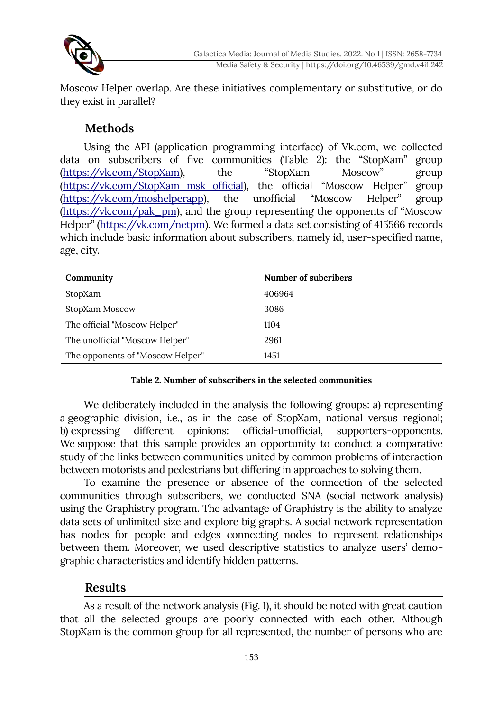

Moscow Helper overlap. Are these initiatives complementary or substitutive, or do they exist in parallel?

# **Methods**

Using the API (application programming interface) of Vk.com, we collected data on subscribers of five communities (Table 2): the "StopXam" group [\(https://vk.com/StopXam\)](https://vk.com/StopXam), the "StopXam Moscow" group [\(https://vk.com/StopXam\\_msk\\_official](https://vk.com/StopXam_msk_official)), the official "Moscow Helper" group [\(https://vk.com/moshelperapp](https://vk.com/moshelperapp)), the unofficial "Moscow Helper" group [\(https://vk.com/pak\\_pm](https://vk.com/pak_pm)), and the group representing the opponents of "Moscow Helper" [\(https://vk.com/netpm\)](https://vk.com/netpm). We formed a data set consisting of 415566 records which include basic information about subscribers, namely id, user-specified name, age, city.

| Community                        | Number of subcribers |
|----------------------------------|----------------------|
| StopXam                          | 406964               |
| StopXam Moscow                   | 3086                 |
| The official "Moscow Helper"     | 1104                 |
| The unofficial "Moscow Helper"   | 2961                 |
| The opponents of "Moscow Helper" | 1451                 |

#### **Table 2. Number of subscribers in the selected communities**

We deliberately included in the analysis the following groups: a) representing a geographic division, i.e., as in the case of StopXam, national versus regional; b) expressing different opinions: official-unofficial, supporters-opponents. We suppose that this sample provides an opportunity to conduct a comparative study of the links between communities united by common problems of interaction between motorists and pedestrians but differing in approaches to solving them.

To examine the presence or absence of the connection of the selected communities through subscribers, we conducted SNA (social network analysis) using the Graphistry program. The advantage of Graphistry is the ability to analyze data sets of unlimited size and explore big graphs. A social network representation has nodes for people and edges connecting nodes to represent relationships between them. Moreover, we used descriptive statistics to analyze users' demographic characteristics and identify hidden patterns.

### **Results**

As a result of the network analysis (Fig. 1), it should be noted with great caution that all the selected groups are poorly connected with each other. Although StopXam is the common group for all represented, the number of persons who are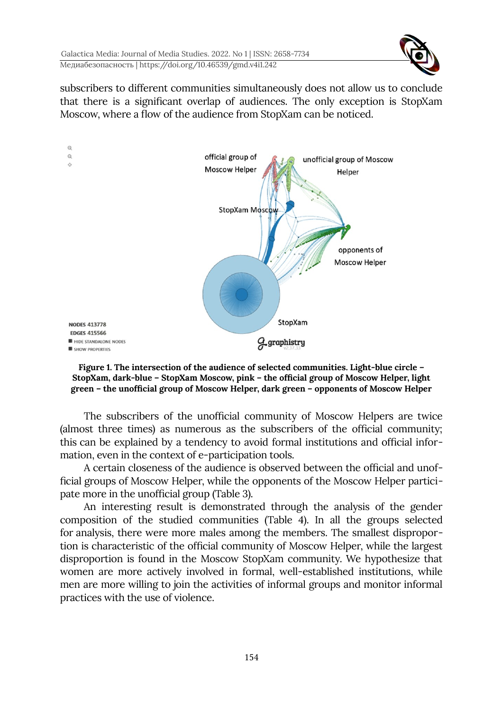

subscribers to different communities simultaneously does not allow us to conclude that there is a significant overlap of audiences. The only exception is StopXam Moscow, where a flow of the audience from StopXam can be noticed.





The subscribers of the unofficial community of Moscow Helpers are twice (almost three times) as numerous as the subscribers of the official community; this can be explained by a tendency to avoid formal institutions and official information, even in the context of e-participation tools.

A certain closeness of the audience is observed between the official and unofficial groups of Moscow Helper, while the opponents of the Moscow Helper participate more in the unofficial group (Table 3).

An interesting result is demonstrated through the analysis of the gender composition of the studied communities (Table 4). In all the groups selected for analysis, there were more males among the members. The smallest disproportion is characteristic of the official community of Moscow Helper, while the largest disproportion is found in the Moscow StopXam community. We hypothesize that women are more actively involved in formal, well-established institutions, while men are more willing to join the activities of informal groups and monitor informal practices with the use of violence.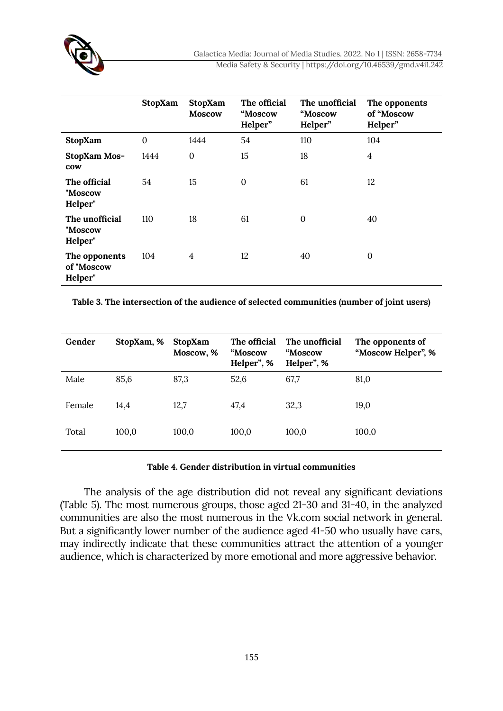

|                                        | StopXam      | <b>StopXam</b><br><b>Moscow</b> | The official<br>"Moscow<br>Helper" | The unofficial<br>"Moscow<br>Helper" | The opponents<br>of "Moscow<br>Helper" |
|----------------------------------------|--------------|---------------------------------|------------------------------------|--------------------------------------|----------------------------------------|
| StopXam                                | $\mathbf{0}$ | 1444                            | 54                                 | 110                                  | 104                                    |
| StopXam Mos-<br>cow                    | 1444         | $\mathbf{0}$                    | 15                                 | 18                                   | $\overline{4}$                         |
| The official<br>"Moscow<br>Helper"     | 54           | 15                              | $\mathbf{0}$                       | 61                                   | 12                                     |
| The unofficial<br>"Moscow<br>Helper"   | 110          | 18                              | 61                                 | $\mathbf{0}$                         | 40                                     |
| The opponents<br>of "Moscow<br>Helper" | 104          | $\overline{4}$                  | 12                                 | 40                                   | $\boldsymbol{0}$                       |

**Table 3. The intersection of the audience of selected communities (number of joint users)**

| Gender | StopXam, % | StopXam<br>Moscow, % | The official<br>"Moscow<br>Helper", % | The unofficial<br>"Moscow<br>Helper", % | The opponents of<br>"Moscow Helper", % |
|--------|------------|----------------------|---------------------------------------|-----------------------------------------|----------------------------------------|
| Male   | 85,6       | 87,3                 | 52,6                                  | 67,7                                    | 81,0                                   |
| Female | 14.4       | 12,7                 | 47,4                                  | 32,3                                    | 19,0                                   |
| Total  | 100,0      | 100,0                | 100,0                                 | 100,0                                   | 100,0                                  |

#### **Table 4. Gender distribution in virtual communities**

The analysis of the age distribution did not reveal any significant deviations (Table 5). The most numerous groups, those aged 21-30 and 31-40, in the analyzed communities are also the most numerous in the Vk.com social network in general. But a significantly lower number of the audience aged 41-50 who usually have cars, may indirectly indicate that these communities attract the attention of a younger audience, which is characterized by more emotional and more aggressive behavior.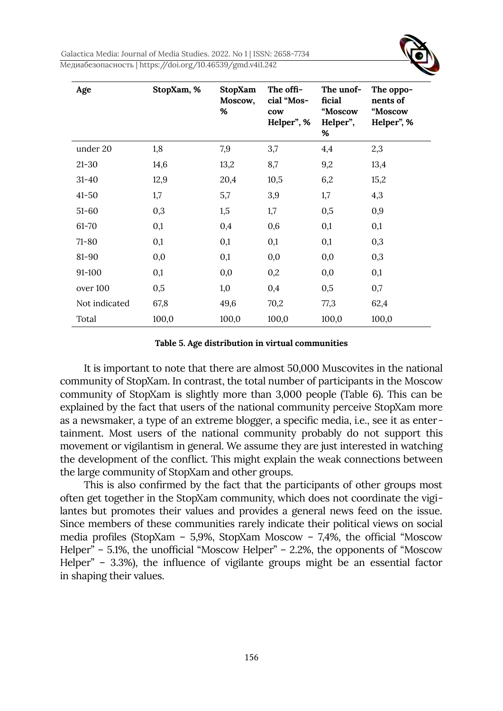

| Age           | StopXam, % | StopXam<br>Moscow,<br>% | The offi-<br>cial "Mos-<br>cow<br>Helper", % | The unof-<br>ficial<br>"Moscow<br>Helper",<br>% | The oppo-<br>nents of<br>"Moscow<br>Helper", % |
|---------------|------------|-------------------------|----------------------------------------------|-------------------------------------------------|------------------------------------------------|
| under 20      | 1,8        | 7,9                     | 3,7                                          | 4,4                                             | 2,3                                            |
| $21 - 30$     | 14,6       | 13,2                    | 8,7                                          | 9,2                                             | 13,4                                           |
| $31 - 40$     | 12,9       | 20,4                    | 10,5                                         | 6,2                                             | 15,2                                           |
| $41 - 50$     | 1,7        | 5,7                     | 3,9                                          | 1,7                                             | 4,3                                            |
| $51 - 60$     | 0,3        | 1,5                     | 1,7                                          | 0,5                                             | 0,9                                            |
| 61-70         | 0,1        | 0,4                     | 0,6                                          | 0,1                                             | 0,1                                            |
| $71 - 80$     | 0,1        | 0,1                     | 0,1                                          | 0,1                                             | 0,3                                            |
| $81 - 90$     | 0,0        | 0,1                     | 0,0                                          | 0,0                                             | 0,3                                            |
| 91-100        | 0,1        | 0,0                     | 0,2                                          | 0,0                                             | 0,1                                            |
| over 100      | 0,5        | 1,0                     | 0,4                                          | 0,5                                             | 0,7                                            |
| Not indicated | 67,8       | 49,6                    | 70,2                                         | 77,3                                            | 62,4                                           |
| Total         | 100,0      | 100,0                   | 100,0                                        | 100,0                                           | 100,0                                          |

#### **Table 5. Age distribution in virtual communities**

It is important to note that there are almost 50,000 Muscovites in the national community of StopXam. In contrast, the total number of participants in the Moscow community of StopXam is slightly more than 3,000 people (Table 6). This can be explained by the fact that users of the national community perceive StopXam more as a newsmaker, a type of an extreme blogger, a specific media, i.e., see it as entertainment. Most users of the national community probably do not support this movement or vigilantism in general. We assume they are just interested in watching the development of the conflict. This might explain the weak connections between the large community of StopXam and other groups.

This is also confirmed by the fact that the participants of other groups most often get together in the StopXam community, which does not coordinate the vigilantes but promotes their values and provides a general news feed on the issue. Since members of these communities rarely indicate their political views on social media profiles (StopXam – 5,9%, StopXam Moscow – 7,4%, the official "Moscow Helper" – 5.1%, the unofficial "Moscow Helper" – 2.2%, the opponents of "Moscow Helper" – 3.3%), the influence of vigilante groups might be an essential factor in shaping their values.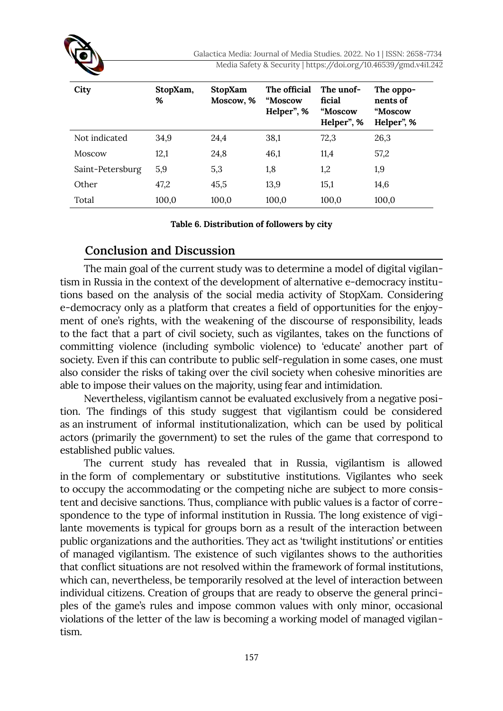Galactica Media: Journal of Media Studies. 2022. No 1 | ISSN: 2658-7734 Media Safety & Security | https://doi.org/10.46539/gmd.v4i1.242

| City             | StopXam,<br>% | StopXam<br>Moscow, % | The official<br>"Moscow<br>Helper", % | The unof-<br>ficial<br>"Moscow<br>Helper", % | The oppo-<br>nents of<br>"Moscow<br>Helper", % |
|------------------|---------------|----------------------|---------------------------------------|----------------------------------------------|------------------------------------------------|
| Not indicated    | 34,9          | 24,4                 | 38,1                                  | 72,3                                         | 26,3                                           |
| <b>Moscow</b>    | 12,1          | 24,8                 | 46,1                                  | 11,4                                         | 57,2                                           |
| Saint-Petersburg | 5,9           | 5,3                  | 1,8                                   | 1,2                                          | 1,9                                            |
| Other            | 47,2          | 45,5                 | 13,9                                  | 15,1                                         | 14,6                                           |
| Total            | 100,0         | 100,0                | 100,0                                 | 100,0                                        | 100,0                                          |

**Table 6. Distribution of followers by city**

#### **Conclusion and Discussion**

The main goal of the current study was to determine a model of digital vigilantism in Russia in the context of the development of alternative e-democracy institutions based on the analysis of the social media activity of StopXam. Considering e-democracy only as a platform that creates a field of opportunities for the enjoyment of one's rights, with the weakening of the discourse of responsibility, leads to the fact that a part of civil society, such as vigilantes, takes on the functions of committing violence (including symbolic violence) to 'educate' another part of society. Even if this can contribute to public self-regulation in some cases, one must also consider the risks of taking over the civil society when cohesive minorities are able to impose their values on the majority, using fear and intimidation.

Nevertheless, vigilantism cannot be evaluated exclusively from a negative position. The findings of this study suggest that vigilantism could be considered as an instrument of informal institutionalization, which can be used by political actors (primarily the government) to set the rules of the game that correspond to established public values.

The current study has revealed that in Russia, vigilantism is allowed in the form of complementary or substitutive institutions. Vigilantes who seek to occupy the accommodating or the competing niche are subject to more consistent and decisive sanctions. Thus, compliance with public values is a factor of correspondence to the type of informal institution in Russia. The long existence of vigilante movements is typical for groups born as a result of the interaction between public organizations and the authorities. They act as 'twilight institutions' or entities of managed vigilantism. The existence of such vigilantes shows to the authorities that conflict situations are not resolved within the framework of formal institutions, which can, nevertheless, be temporarily resolved at the level of interaction between individual citizens. Creation of groups that are ready to observe the general principles of the game's rules and impose common values with only minor, occasional violations of the letter of the law is becoming a working model of managed vigilantism.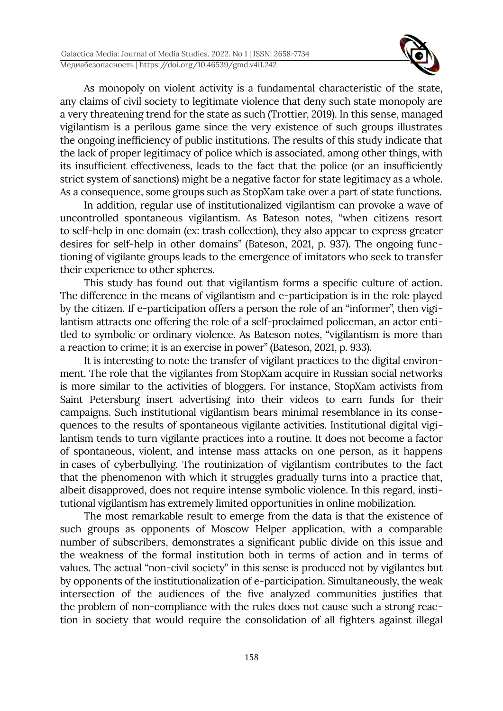

As monopoly on violent activity is a fundamental characteristic of the state, any claims of civil society to legitimate violence that deny such state monopoly are a very threatening trend for the state as such (Trottier, 2019). In this sense, managed vigilantism is a perilous game since the very existence of such groups illustrates the ongoing inefficiency of public institutions. The results of this study indicate that the lack of proper legitimacy of police which is associated, among other things, with its insufficient effectiveness, leads to the fact that the police (or an insufficiently strict system of sanctions) might be a negative factor for state legitimacy as a whole. As a consequence, some groups such as StopXam take over a part of state functions.

In addition, regular use of institutionalized vigilantism can provoke a wave of uncontrolled spontaneous vigilantism. As Bateson notes, "when citizens resort to self-help in one domain (ex: trash collection), they also appear to express greater desires for self-help in other domains" (Bateson, 2021, p. 937). The ongoing functioning of vigilante groups leads to the emergence of imitators who seek to transfer their experience to other spheres.

This study has found out that vigilantism forms a specific culture of action. The difference in the means of vigilantism and e-participation is in the role played by the citizen. If e-participation offers a person the role of an "informer", then vigilantism attracts one offering the role of a self-proclaimed policeman, an actor entitled to symbolic or ordinary violence. As Bateson notes, "vigilantism is more than a reaction to crime; it is an exercise in power" (Bateson, 2021, p. 933).

It is interesting to note the transfer of vigilant practices to the digital environment. The role that the vigilantes from StopXam acquire in Russian social networks is more similar to the activities of bloggers. For instance, StopXam activists from Saint Petersburg insert advertising into their videos to earn funds for their campaigns. Such institutional vigilantism bears minimal resemblance in its consequences to the results of spontaneous vigilante activities. Institutional digital vigilantism tends to turn vigilante practices into a routine. It does not become a factor of spontaneous, violent, and intense mass attacks on one person, as it happens in cases of cyberbullying. The routinization of vigilantism contributes to the fact that the phenomenon with which it struggles gradually turns into a practice that, albeit disapproved, does not require intense symbolic violence. In this regard, institutional vigilantism has extremely limited opportunities in online mobilization.

The most remarkable result to emerge from the data is that the existence of such groups as opponents of Moscow Helper application, with a comparable number of subscribers, demonstrates a significant public divide on this issue and the weakness of the formal institution both in terms of action and in terms of values. The actual "non-civil society" in this sense is produced not by vigilantes but by opponents of the institutionalization of e-participation. Simultaneously, the weak intersection of the audiences of the five analyzed communities justifies that the problem of non-compliance with the rules does not cause such a strong reaction in society that would require the consolidation of all fighters against illegal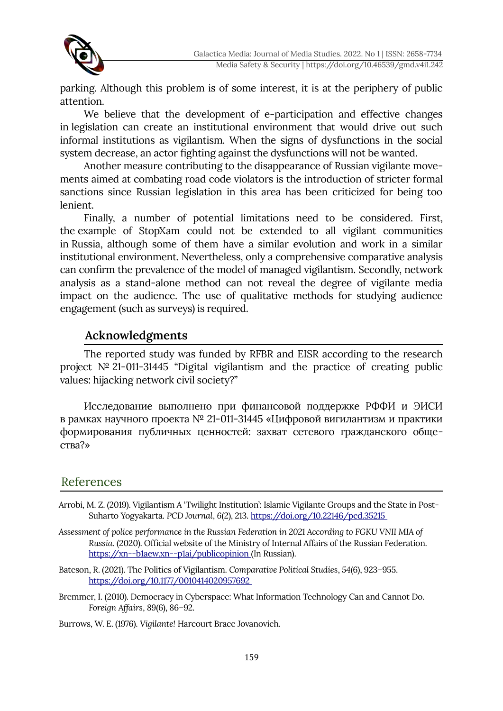

parking. Although this problem is of some interest, it is at the periphery of public attention.

We believe that the development of e-participation and effective changes in legislation can create an institutional environment that would drive out such informal institutions as vigilantism. When the signs of dysfunctions in the social system decrease, an actor fighting against the dysfunctions will not be wanted.

Another measure contributing to the disappearance of Russian vigilante movements aimed at combating road code violators is the introduction of stricter formal sanctions since Russian legislation in this area has been criticized for being too lenient.

Finally, a number of potential limitations need to be considered. First, the example of StopXam could not be extended to all vigilant communities in Russia, although some of them have a similar evolution and work in a similar institutional environment. Nevertheless, only a comprehensive comparative analysis can confirm the prevalence of the model of managed vigilantism. Secondly, network analysis as a stand-alone method can not reveal the degree of vigilante media impact on the audience. The use of qualitative methods for studying audience engagement (such as surveys) is required.

# **Acknowledgments**

The reported study was funded by RFBR and EISR according to the research project № 21-011-31445 "Digital vigilantism and the practice of creating public values: hijacking network civil society?"

Исследование выполнено при финансовой поддержке РФФИ и ЭИСИ в рамках научного проекта № 21-011-31445 «Цифровой вигилантизм и практики формирования публичных ценностей: захват сетевого гражданского общества?»

# References

- Arrobi, M. Z. (2019). Vigilantism A 'Twilight Institution': Islamic Vigilante Groups and the State in Post-Suharto Yogyakarta. *PCD Journal*, *6*(2), 213. <https://doi.org/10.22146/pcd.35215>
- *Assessment of police performance in the Russian Federation in 2021 According to FGKU VNII MIA of Russia*. (2020). Official website of the Ministry of Internal Affairs of the Russian Federation. <https://xn--b1aew.xn--p1ai/publicopinion> (In Russian).
- Bateson, R. (2021). The Politics of Vigilantism. *Comparative Political Studies*, *54*(6), 923–955. <https://doi.org/10.1177/0010414020957692>
- Bremmer, I. (2010). Democracy in Cyberspace: What Information Technology Can and Cannot Do. *Foreign Affairs*, *89*(6), 86–92.

Burrows, W. E. (1976). *Vigilante!* Harcourt Brace Jovanovich.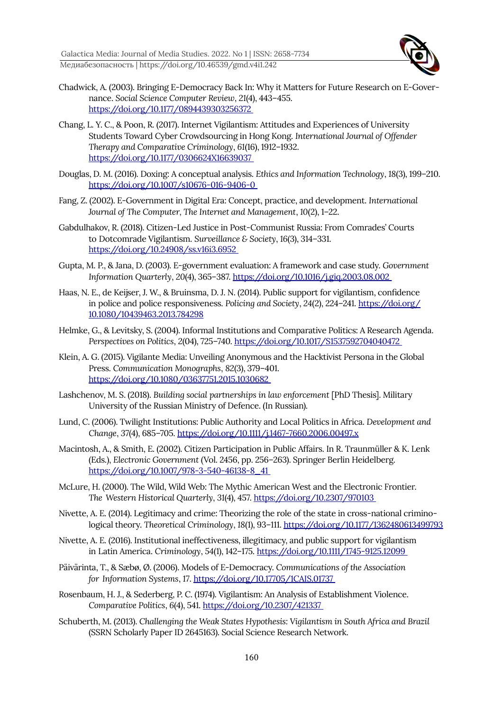Galactica Media: Journal of Media Studies. 2022. No 1 | ISSN: 2658-7734 Медиабезопасность | https://doi.org/10.46539/gmd.v4i1.242



- Chadwick, A. (2003). Bringing E-Democracy Back In: Why it Matters for Future Research on E-Governance. *Social Science Computer Review*, *21*(4), 443–455. <https://doi.org/10.1177/0894439303256372>
- Chang, L. Y. C., & Poon, R. (2017). Internet Vigilantism: Attitudes and Experiences of University Students Toward Cyber Crowdsourcing in Hong Kong. *International Journal of Offender Therapy and Comparative Criminology*, *61*(16), 1912–1932. <https://doi.org/10.1177/0306624X16639037>
- Douglas, D. M. (2016). Doxing: A conceptual analysis. *Ethics and Information Technology*, *18*(3), 199–210. <https://doi.org/10.1007/s10676-016-9406-0>
- Fang, Z. (2002). E-Government in Digital Era: Concept, practice, and development. *International Journal of The Computer, The Internet and Management*, *10*(2), 1–22.
- Gabdulhakov, R. (2018). Citizen-Led Justice in Post-Communist Russia: From Comrades' Courts to Dotcomrade Vigilantism. *Surveillance & Society*, *16*(3), 314–331. <https://doi.org/10.24908/ss.v16i3.6952>
- Gupta, M. P., & Jana, D. (2003). E-government evaluation: A framework and case study. *Government Information Quarterly*, *20*(4), 365–387. <https://doi.org/10.1016/j.giq.2003.08.002>
- Haas, N. E., de Keijser, J. W., & Bruinsma, D. J. N. (2014). Public support for vigilantism, confidence in police and police responsiveness. *Policing and Society*, *24*(2), 224–241. [https://doi.org/](https://doi.org/10.1080/10439463.2013.784298) [10.1080/10439463.2013.784298](https://doi.org/10.1080/10439463.2013.784298)
- Helmke, G., & Levitsky, S. (2004). Informal Institutions and Comparative Politics: A Research Agenda. *Perspectives on Politics*, *2*(04), 725–740.<https://doi.org/10.1017/S1537592704040472>
- Klein, A. G. (2015). Vigilante Media: Unveiling Anonymous and the Hacktivist Persona in the Global Press. *Communication Monographs*, *82*(3), 379–401. <https://doi.org/10.1080/03637751.2015.1030682>
- Lashchenov, M. S. (2018). *Building social partnerships in law enforcement* [PhD Thesis]. Military University of the Russian Ministry of Defence. (In Russian).
- Lund, C. (2006). Twilight Institutions: Public Authority and Local Politics in Africa. *Development and Change*, *37*(4), 685–705.<https://doi.org/10.1111/j.1467-7660.2006.00497.x>
- Macintosh, A., & Smith, E. (2002). Citizen Participation in Public Affairs. In R. Traunmüller & K. Lenk (Eds.), *Electronic Government* (Vol. 2456, pp. 256–263). Springer Berlin Heidelberg.  [https://doi.org/10.1007/978-3-540-46138-8\\_41](https://doi.org/10.1007/978-3-540-46138-8_41)
- McLure, H. (2000). The Wild, Wild Web: The Mythic American West and the Electronic Frontier. *The Western Historical Quarterly*, *31*(4), 457.<https://doi.org/10.2307/970103>
- Nivette, A. E. (2014). Legitimacy and crime: Theorizing the role of the state in cross-national criminological theory. *Theoretical Criminology*, *18*(1), 93–111. <https://doi.org/10.1177/1362480613499793>
- Nivette, A. E. (2016). Institutional ineffectiveness, illegitimacy, and public support for vigilantism in Latin America. *Criminology*, *54*(1), 142–175.<https://doi.org/10.1111/1745-9125.12099>
- Päivärinta, T., & Sæbø, Ø. (2006). Models of E-Democracy. *Communications of the Association for Information Systems*, *17*.<https://doi.org/10.17705/1CAIS.01737>
- Rosenbaum, H. J., & Sederberg, P. C. (1974). Vigilantism: An Analysis of Establishment Violence. *Comparative Politics*, *6*(4), 541.<https://doi.org/10.2307/421337>
- Schuberth, M. (2013). *Challenging the Weak States Hypothesis: Vigilantism in South Africa and Brazil* (SSRN Scholarly Paper ID 2645163). Social Science Research Network.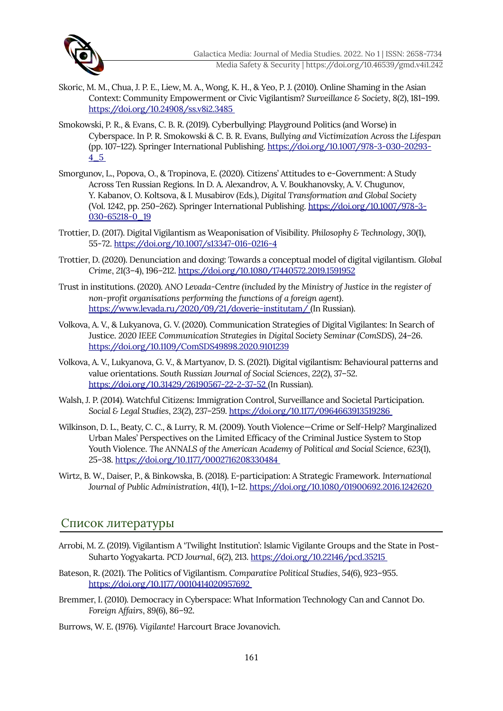

- Skoric, M. M., Chua, J. P. E., Liew, M. A., Wong, K. H., & Yeo, P. J. (2010). Online Shaming in the Asian Context: Community Empowerment or Civic Vigilantism? *Surveillance & Society*, *8*(2), 181–199. <https://doi.org/10.24908/ss.v8i2.3485>
- Smokowski, P. R., & Evans, C. B. R. (2019). Cyberbullying: Playground Politics (and Worse) in Cyberspace. In P. R. Smokowski & C. B. R. Evans, *Bullying and Victimization Across the Lifespan* (pp. 107–122). Springer International Publishing. https://doi.org/10.1007/978-3-030-20293- 4\_5
- Smorgunov, L., Popova, O., & Tropinova, E. (2020). Citizens' Attitudes to e-Government: A Study Across Ten Russian Regions. In D. A. Alexandrov, A. V. Boukhanovsky, A. V. Chugunov, Y. Kabanov, O. Koltsova, & I. Musabirov (Eds.), *Digital Transformation and Global Society* (Vol. 1242, pp. 250–262). Springer International Publishing. [https://doi.org/10.1007/978-3-](https://doi.org/10.1007/978-3-030-65218-0_19) [030-65218-0\\_19](https://doi.org/10.1007/978-3-030-65218-0_19)
- Trottier, D. (2017). Digital Vigilantism as Weaponisation of Visibility. *Philosophy & Technology*, *30*(1), 55-72.<https://doi.org/10.1007/s13347-016-0216-4>
- Trottier, D. (2020). Denunciation and doxing: Towards a conceptual model of digital vigilantism. *Global Crime*, *21*(3–4), 196–212.<https://doi.org/10.1080/17440572.2019.1591952>
- Trust in institutions. (2020). *ANO Levada-Centre (included by the Ministry of Justice in the register of non-profit organisations performing the functions of a foreign agent)*. <https://www.levada.ru/2020/09/21/doverie-institutam/> (In Russian).
- Volkova, A. V., & Lukyanova, G. V. (2020). Communication Strategies of Digital Vigilantes: In Search of Justice. *2020 IEEE Communication Strategies in Digital Society Seminar (ComSDS)*, 24–26. <https://doi.org/10.1109/ComSDS49898.2020.9101239>
- Volkova, A. V., Lukyanova, G. V., & Martyanov, D. S. (2021). Digital vigilantism: Behavioural patterns and value orientations. *South Russian Journal of Social Sciences*, *22*(2), 37–52. <https://doi.org/10.31429/26190567-22-2-37-52> (In Russian).
- Walsh, J. P. (2014). Watchful Citizens: Immigration Control, Surveillance and Societal Participation. *Social & Legal Studies*, *23*(2), 237–259.<https://doi.org/10.1177/0964663913519286>
- Wilkinson, D. L., Beaty, C. C., & Lurry, R. M. (2009). Youth Violence—Crime or Self-Help? Marginalized Urban Males' Perspectives on the Limited Efficacy of the Criminal Justice System to Stop Youth Violence. *The ANNALS of the American Academy of Political and Social Science*, *623*(1), 25–38.<https://doi.org/10.1177/0002716208330484>
- Wirtz, B. W., Daiser, P., & Binkowska, B. (2018). E-participation: A Strategic Framework. *International Journal of Public Administration*, *41*(1), 1–12.<https://doi.org/10.1080/01900692.2016.1242620>

#### Список литературы

- Arrobi, M. Z. (2019). Vigilantism A 'Twilight Institution': Islamic Vigilante Groups and the State in Post-Suharto Yogyakarta. *PCD Journal*, *6*(2), 213. <https://doi.org/10.22146/pcd.35215>
- Bateson, R. (2021). The Politics of Vigilantism. *Comparative Political Studies*, *54*(6), 923–955. <https://doi.org/10.1177/0010414020957692>
- Bremmer, I. (2010). Democracy in Cyberspace: What Information Technology Can and Cannot Do. *Foreign Affairs*, *89*(6), 86–92.
- Burrows, W. E. (1976). *Vigilante!* Harcourt Brace Jovanovich.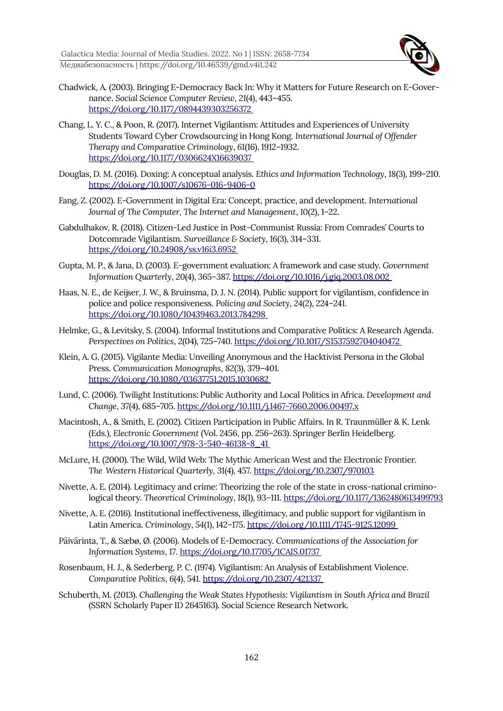Galactica Media: Journal of Media Studies. 2022. No 1 | ISSN: 2658-7734 Медиабезопасность | https://doi.org/10.46539/gmd.v4i1.242



- Chadwick, A. (2003). Bringing E-Democracy Back In: Why it Matters for Future Research on E-Governance. *Social Science Computer Review*, *21*(4), 443–455. <https://doi.org/10.1177/0894439303256372>
- Chang, L. Y. C., & Poon, R. (2017). Internet Vigilantism: Attitudes and Experiences of University Students Toward Cyber Crowdsourcing in Hong Kong. *International Journal of Offender Therapy and Comparative Criminology*, *61*(16), 1912–1932. <https://doi.org/10.1177/0306624X16639037>
- Douglas, D. M. (2016). Doxing: A conceptual analysis. *Ethics and Information Technology*, *18*(3), 199–210. <https://doi.org/10.1007/s10676-016-9406-0>
- Fang, Z. (2002). E-Government in Digital Era: Concept, practice, and development. *International Journal of The Computer, The Internet and Management*, *10*(2), 1–22.
- Gabdulhakov, R. (2018). Citizen-Led Justice in Post-Communist Russia: From Comrades' Courts to Dotcomrade Vigilantism. *Surveillance & Society*, *16*(3), 314–331. <https://doi.org/10.24908/ss.v16i3.6952>
- Gupta, M. P., & Jana, D. (2003). E-government evaluation: A framework and case study. *Government Information Quarterly*, *20*(4), 365–387. <https://doi.org/10.1016/j.giq.2003.08.002>
- Haas, N. E., de Keijser, J. W., & Bruinsma, D. J. N. (2014). Public support for vigilantism, confidence in police and police responsiveness. *Policing and Society*, *24*(2), 224–241. <https://doi.org/10.1080/10439463.2013.784298>
- Helmke, G., & Levitsky, S. (2004). Informal Institutions and Comparative Politics: A Research Agenda. *Perspectives on Politics*, *2*(04), 725–740.<https://doi.org/10.1017/S1537592704040472>
- Klein, A. G. (2015). Vigilante Media: Unveiling Anonymous and the Hacktivist Persona in the Global Press. *Communication Monographs*, *82*(3), 379–401. <https://doi.org/10.1080/03637751.2015.1030682>
- Lund, C. (2006). Twilight Institutions: Public Authority and Local Politics in Africa. *Development and Change*, *37*(4), 685–705.<https://doi.org/10.1111/j.1467-7660.2006.00497.x>
- Macintosh, A., & Smith, E. (2002). Citizen Participation in Public Affairs. In R. Traunmüller & K. Lenk (Eds.), *Electronic Government* (Vol. 2456, pp. 256–263). Springer Berlin Heidelberg.  [https://doi.org/10.1007/978-3-540-46138-8\\_41](https://doi.org/10.1007/978-3-540-46138-8_41)
- McLure, H. (2000). The Wild, Wild Web: The Mythic American West and the Electronic Frontier. *The Western Historical Quarterly*, *31*(4), 457.<https://doi.org/10.2307/970103>
- Nivette, A. E. (2014). Legitimacy and crime: Theorizing the role of the state in cross-national criminological theory. *Theoretical Criminology*, *18*(1), 93–111. <https://doi.org/10.1177/1362480613499793>
- Nivette, A. E. (2016). Institutional ineffectiveness, illegitimacy, and public support for vigilantism in Latin America. *Criminology*, *54*(1), 142–175. <https://doi.org/10.1111/1745-9125.12099>
- Päivärinta, T., & Sæbø, Ø. (2006). Models of E-Democracy. *Communications of the Association for Information Systems*, *17*.<https://doi.org/10.17705/1CAIS.01737>
- Rosenbaum, H. J., & Sederberg, P. C. (1974). Vigilantism: An Analysis of Establishment Violence. *Comparative Politics*, *6*(4), 541.<https://doi.org/10.2307/421337>
- Schuberth, M. (2013). *Challenging the Weak States Hypothesis: Vigilantism in South Africa and Brazil* (SSRN Scholarly Paper ID 2645163). Social Science Research Network.